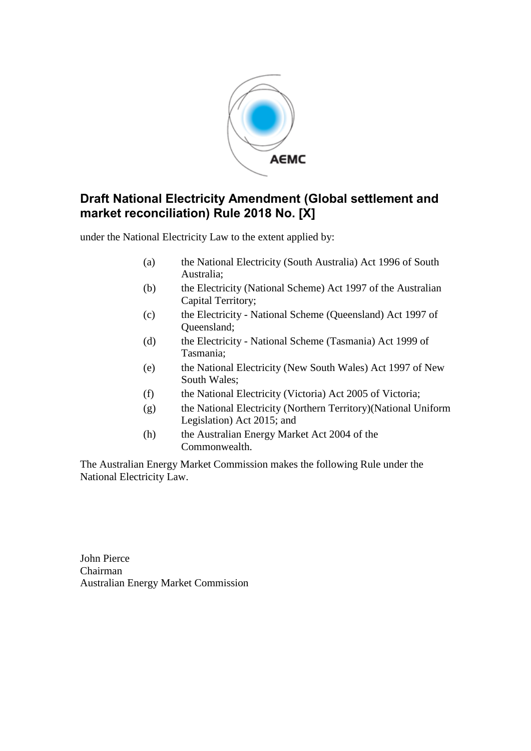

under the National Electricity Law to the extent applied by:

- (a) the National Electricity (South Australia) Act 1996 of South Australia;
- (b) the Electricity (National Scheme) Act 1997 of the Australian Capital Territory;
- (c) the Electricity National Scheme (Queensland) Act 1997 of Queensland;
- (d) the Electricity National Scheme (Tasmania) Act 1999 of Tasmania;
- (e) the National Electricity (New South Wales) Act 1997 of New South Wales;
- (f) the National Electricity (Victoria) Act 2005 of Victoria;
- (g) the National Electricity (Northern Territory)(National Uniform Legislation) Act 2015; and
- (h) the Australian Energy Market Act 2004 of the Commonwealth.

The Australian Energy Market Commission makes the following Rule under the National Electricity Law.

John Pierce Chairman Australian Energy Market Commission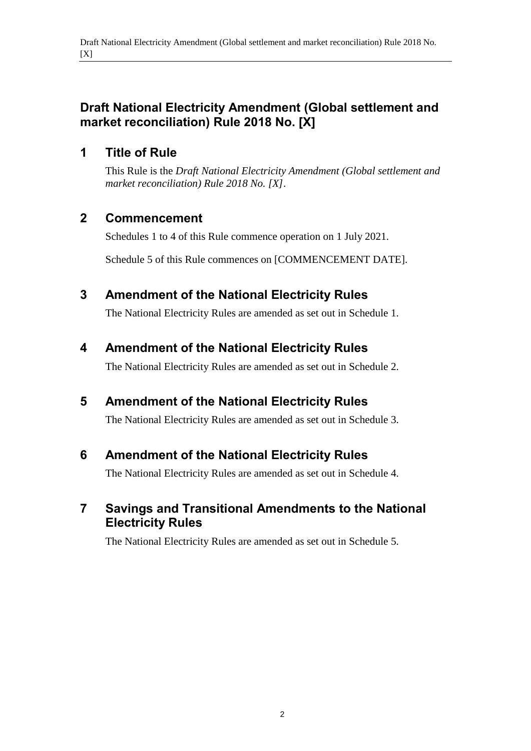## **1 Title of Rule**

This Rule is the *Draft National Electricity Amendment (Global settlement and market reconciliation) Rule 2018 No. [X]*.

## **2 Commencement**

Schedules 1 to 4 of this Rule commence operation on 1 July 2021.

Schedule 5 of this Rule commences on [COMMENCEMENT DATE].

## <span id="page-1-0"></span>**3 Amendment of the National Electricity Rules**

The National Electricity Rules are amended as set out in [Schedule 1.](#page-2-0)

# <span id="page-1-1"></span>**4 Amendment of the National Electricity Rules**

The National Electricity Rules are amended as set out in [Schedule 2.](#page-8-0)

# <span id="page-1-2"></span>**5 Amendment of the National Electricity Rules**

The National Electricity Rules are amended as set out in [Schedule 3.](#page-9-0)

# <span id="page-1-3"></span>**6 Amendment of the National Electricity Rules**

The National Electricity Rules are amended as set out in [Schedule 4.](#page-11-0)

# <span id="page-1-4"></span>**7 Savings and Transitional Amendments to the National Electricity Rules**

The National Electricity Rules are amended as set out in [Schedule 5.](#page-12-0)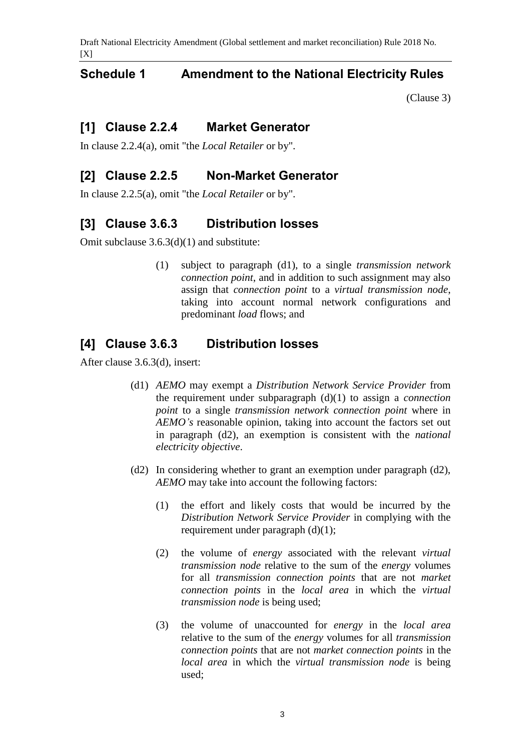### <span id="page-2-0"></span>**Schedule 1 Amendment to the National Electricity Rules**

[\(Clause 3\)](#page-1-0)

### **[1] Clause 2.2.4 Market Generator**

In clause 2.2.4(a), omit "the *Local Retailer* or by".

### **[2] Clause 2.2.5 Non-Market Generator**

In clause 2.2.5(a), omit "the *Local Retailer* or by".

#### **[3] Clause 3.6.3 Distribution losses**

Omit subclause 3.6.3(d)(1) and substitute:

(1) subject to paragraph (d1), to a single *transmission network connection point*, and in addition to such assignment may also assign that *connection point* to a *virtual transmission node*, taking into account normal network configurations and predominant *load* flows; and

### **[4] Clause 3.6.3 Distribution losses**

After clause 3.6.3(d), insert:

- (d1) *AEMO* may exempt a *Distribution Network Service Provider* from the requirement under subparagraph (d)(1) to assign a *connection point* to a single *transmission network connection point* where in *AEMO's* reasonable opinion, taking into account the factors set out in paragraph (d2), an exemption is consistent with the *national electricity objective*.
- (d2) In considering whether to grant an exemption under paragraph (d2), *AEMO* may take into account the following factors:
	- (1) the effort and likely costs that would be incurred by the *Distribution Network Service Provider* in complying with the requirement under paragraph (d)(1);
	- (2) the volume of *energy* associated with the relevant *virtual transmission node* relative to the sum of the *energy* volumes for all *transmission connection points* that are not *market connection points* in the *local area* in which the *virtual transmission node* is being used;
	- (3) the volume of unaccounted for *energy* in the *local area* relative to the sum of the *energy* volumes for all *transmission connection points* that are not *market connection points* in the *local area* in which the *virtual transmission node* is being used;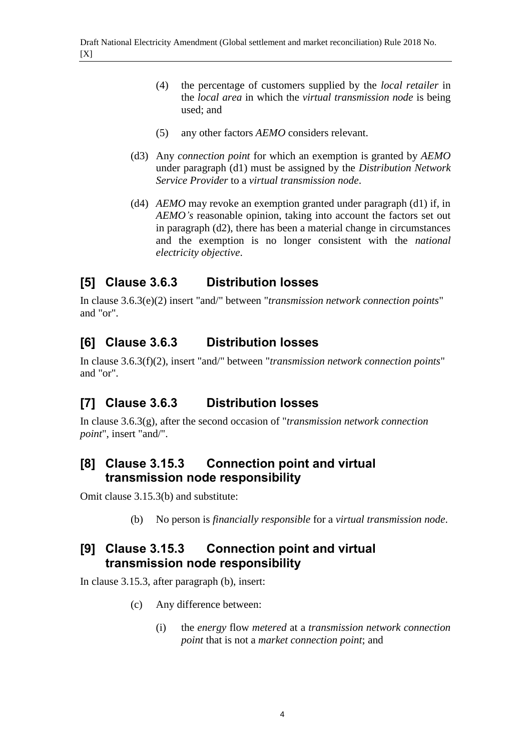- (4) the percentage of customers supplied by the *local retailer* in the *local area* in which the *virtual transmission node* is being used; and
- (5) any other factors *AEMO* considers relevant.
- (d3) Any *connection point* for which an exemption is granted by *AEMO* under paragraph (d1) must be assigned by the *Distribution Network Service Provider* to a *virtual transmission node*.
- (d4) *AEMO* may revoke an exemption granted under paragraph (d1) if, in *AEMO's* reasonable opinion, taking into account the factors set out in paragraph (d2), there has been a material change in circumstances and the exemption is no longer consistent with the *national electricity objective*.

## **[5] Clause 3.6.3 Distribution losses**

In clause 3.6.3(e)(2) insert "and/" between "*transmission network connection points*" and "or".

## **[6] Clause 3.6.3 Distribution losses**

In clause 3.6.3(f)(2), insert "and/" between "*transmission network connection points*" and "or".

# **[7] Clause 3.6.3 Distribution losses**

In clause 3.6.3(g), after the second occasion of "*transmission network connection point*", insert "and/".

### **[8] Clause 3.15.3 Connection point and virtual transmission node responsibility**

Omit clause 3.15.3(b) and substitute:

(b) No person is *financially responsible* for a *virtual transmission node*.

## **[9] Clause 3.15.3 Connection point and virtual transmission node responsibility**

In clause 3.15.3, after paragraph (b), insert:

- (c) Any difference between:
	- (i) the *energy* flow *metered* at a *transmission network connection point* that is not a *market connection point*; and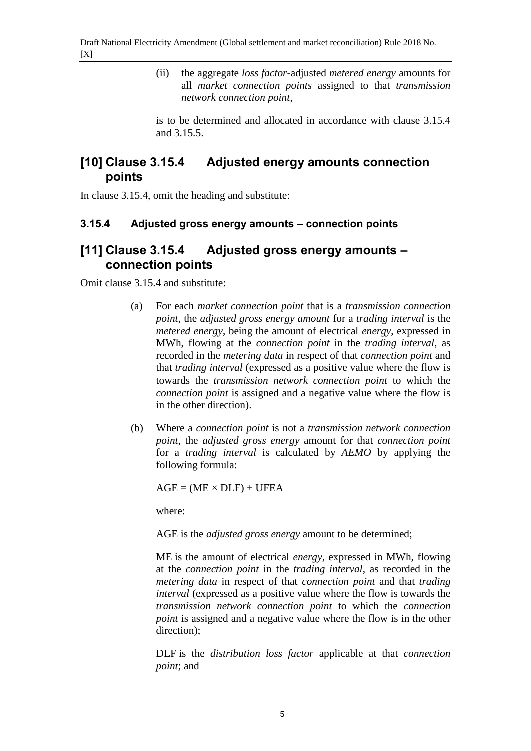(ii) the aggregate *loss factor*-adjusted *metered energy* amounts for all *market connection points* assigned to that *transmission network connection point*,

is to be determined and allocated in accordance with clause 3.15.4 and 3.15.5.

## **[10] Clause 3.15.4 Adjusted energy amounts connection points**

In clause 3.15.4, omit the heading and substitute:

#### **3.15.4 Adjusted gross energy amounts – connection points**

### **[11] Clause 3.15.4 Adjusted gross energy amounts – connection points**

Omit clause 3.15.4 and substitute:

- (a) For each *market connection point* that is a *transmission connection point*, the *adjusted gross energy amount* for a *trading interval* is the *metered energy*, being the amount of electrical *energy*, expressed in MWh, flowing at the *connection point* in the *trading interval*, as recorded in the *metering data* in respect of that *connection point* and that *trading interval* (expressed as a positive value where the flow is towards the *transmission network connection point* to which the *connection point* is assigned and a negative value where the flow is in the other direction).
- (b) Where a *connection point* is not a *transmission network connection point*, the *adjusted gross energy* amount for that *connection point* for a *trading interval* is calculated by *AEMO* by applying the following formula:

 $AGE = (ME \times DLF) + UFEA$ 

where:

AGE is the *adjusted gross energy* amount to be determined;

ME is the amount of electrical *energy*, expressed in MWh, flowing at the *connection point* in the *trading interval*, as recorded in the *metering data* in respect of that *connection point* and that *trading interval* (expressed as a positive value where the flow is towards the *transmission network connection point* to which the *connection point* is assigned and a negative value where the flow is in the other direction);

DLF is the *distribution loss factor* applicable at that *connection point*; and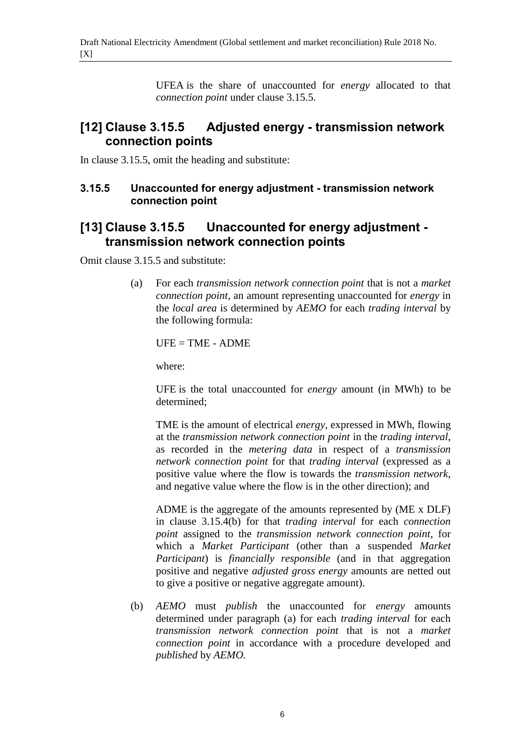UFEA is the share of unaccounted for *energy* allocated to that *connection point* under clause 3.15.5.

### **[12] Clause 3.15.5 Adjusted energy - transmission network connection points**

In clause 3.15.5, omit the heading and substitute:

#### **3.15.5 Unaccounted for energy adjustment - transmission network connection point**

## **[13] Clause 3.15.5 Unaccounted for energy adjustment transmission network connection points**

Omit clause 3.15.5 and substitute:

(a) For each *transmission network connection point* that is not a *market connection point*, an amount representing unaccounted for *energy* in the *local area* is determined by *AEMO* for each *trading interval* by the following formula:

 $UFE = TIME - ADME$ 

where:

UFE is the total unaccounted for *energy* amount (in MWh) to be determined;

TME is the amount of electrical *energy*, expressed in MWh, flowing at the *transmission network connection point* in the *trading interval*, as recorded in the *metering data* in respect of a *transmission network connection point* for that *trading interval* (expressed as a positive value where the flow is towards the *transmission network*, and negative value where the flow is in the other direction); and

ADME is the aggregate of the amounts represented by (ME x DLF) in clause 3.15.4(b) for that *trading interval* for each *connection point* assigned to the *transmission network connection point*, for which a *Market Participant* (other than a suspended *Market Participant*) is *financially responsible* (and in that aggregation positive and negative *adjusted gross energy* amounts are netted out to give a positive or negative aggregate amount).

(b) *AEMO* must *publish* the unaccounted for *energy* amounts determined under paragraph (a) for each *trading interval* for each *transmission network connection point* that is not a *market connection point* in accordance with a procedure developed and *published* by *AEMO.*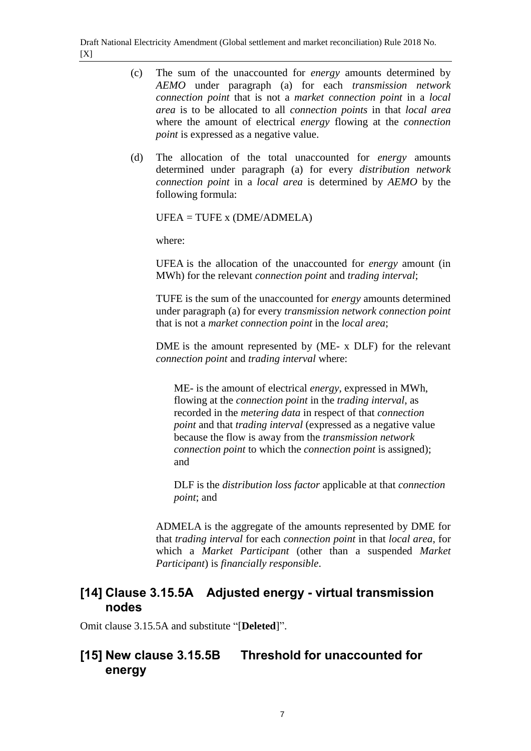- (c) The sum of the unaccounted for *energy* amounts determined by *AEMO* under paragraph (a) for each *transmission network connection point* that is not a *market connection point* in a *local area* is to be allocated to all *connection points* in that *local area* where the amount of electrical *energy* flowing at the *connection point* is expressed as a negative value.
- (d) The allocation of the total unaccounted for *energy* amounts determined under paragraph (a) for every *distribution network connection point* in a *local area* is determined by *AEMO* by the following formula:

UFEA = TUFE x (DME/ADMELA)

where:

UFEA is the allocation of the unaccounted for *energy* amount (in MWh) for the relevant *connection point* and *trading interval*;

TUFE is the sum of the unaccounted for *energy* amounts determined under paragraph (a) for every *transmission network connection point* that is not a *market connection point* in the *local area*;

DME is the amount represented by (ME- x DLF) for the relevant *connection point* and *trading interval* where:

ME- is the amount of electrical *energy*, expressed in MWh, flowing at the *connection point* in the *trading interval*, as recorded in the *metering data* in respect of that *connection point* and that *trading interval* (expressed as a negative value because the flow is away from the *transmission network connection point* to which the *connection point* is assigned); and

DLF is the *distribution loss factor* applicable at that *connection point*; and

ADMELA is the aggregate of the amounts represented by DME for that *trading interval* for each *connection point* in that *local area*, for which a *Market Participant* (other than a suspended *Market Participant*) is *financially responsible*.

## **[14] Clause 3.15.5A Adjusted energy - virtual transmission nodes**

Omit clause 3.15.5A and substitute "[**Deleted**]".

# **[15] New clause 3.15.5B Threshold for unaccounted for energy**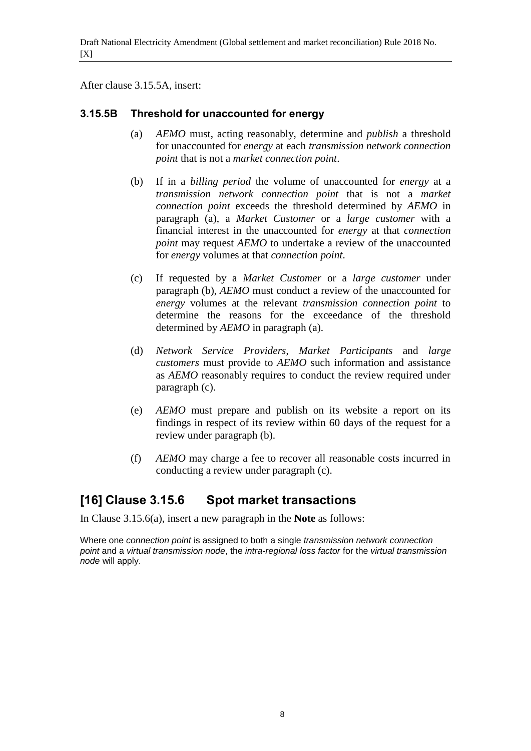After clause 3.15.5A, insert:

#### **3.15.5B Threshold for unaccounted for energy**

- (a) *AEMO* must, acting reasonably, determine and *publish* a threshold for unaccounted for *energy* at each *transmission network connection point* that is not a *market connection point*.
- (b) If in a *billing period* the volume of unaccounted for *energy* at a *transmission network connection point* that is not a *market connection point* exceeds the threshold determined by *AEMO* in paragraph (a), a *Market Customer* or a *large customer* with a financial interest in the unaccounted for *energy* at that *connection point* may request *AEMO* to undertake a review of the unaccounted for *energy* volumes at that *connection point*.
- (c) If requested by a *Market Customer* or a *large customer* under paragraph (b), *AEMO* must conduct a review of the unaccounted for *energy* volumes at the relevant *transmission connection point* to determine the reasons for the exceedance of the threshold determined by *AEMO* in paragraph (a).
- (d) *Network Service Providers*, *Market Participants* and *large customers* must provide to *AEMO* such information and assistance as *AEMO* reasonably requires to conduct the review required under paragraph (c).
- (e) *AEMO* must prepare and publish on its website a report on its findings in respect of its review within 60 days of the request for a review under paragraph (b).
- (f) *AEMO* may charge a fee to recover all reasonable costs incurred in conducting a review under paragraph (c).

# **[16] Clause 3.15.6 Spot market transactions**

In Clause 3.15.6(a), insert a new paragraph in the **Note** as follows:

Where one *connection point* is assigned to both a single *transmission network connection point* and a *virtual transmission node*, the *intra-regional loss factor* for the *virtual transmission node* will apply.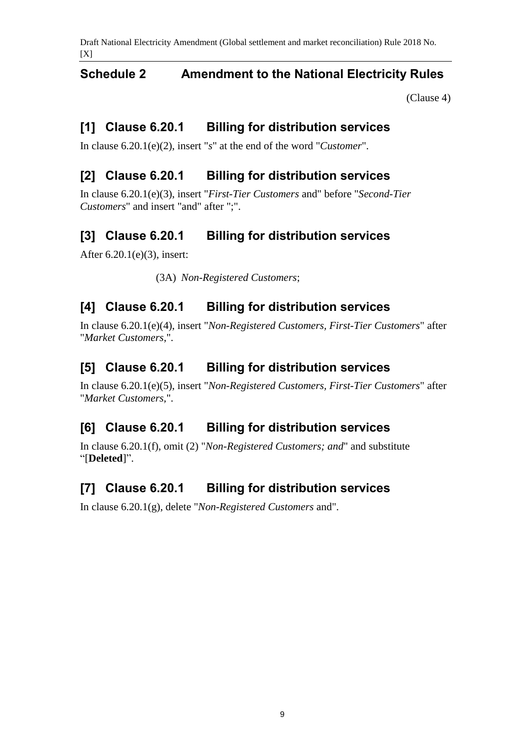### <span id="page-8-0"></span>**Schedule 2 Amendment to the National Electricity Rules**

[\(Clause 4\)](#page-1-1)

## **[1] Clause 6.20.1 Billing for distribution services**

In clause 6.20.1(e)(2), insert "*s*" at the end of the word "*Customer*".

# **[2] Clause 6.20.1 Billing for distribution services**

In clause 6.20.1(e)(3), insert "*First-Tier Customers* and" before "*Second-Tier Customers*" and insert "and" after ";".

## **[3] Clause 6.20.1 Billing for distribution services**

After 6.20.1(e)(3), insert:

(3A) *Non-Registered Customers*;

### **[4] Clause 6.20.1 Billing for distribution services**

In clause 6.20.1(e)(4), insert "*Non-Registered Customers, First-Tier Customers*" after "*Market Customers*,".

### **[5] Clause 6.20.1 Billing for distribution services**

In clause 6.20.1(e)(5), insert "*Non-Registered Customers, First-Tier Customers*" after "*Market Customers,*".

### **[6] Clause 6.20.1 Billing for distribution services**

In clause 6.20.1(f), omit (2) "*Non-Registered Customers; and*" and substitute "[**Deleted**]".

### **[7] Clause 6.20.1 Billing for distribution services**

In clause 6.20.1(g), delete "*Non-Registered Customers* and".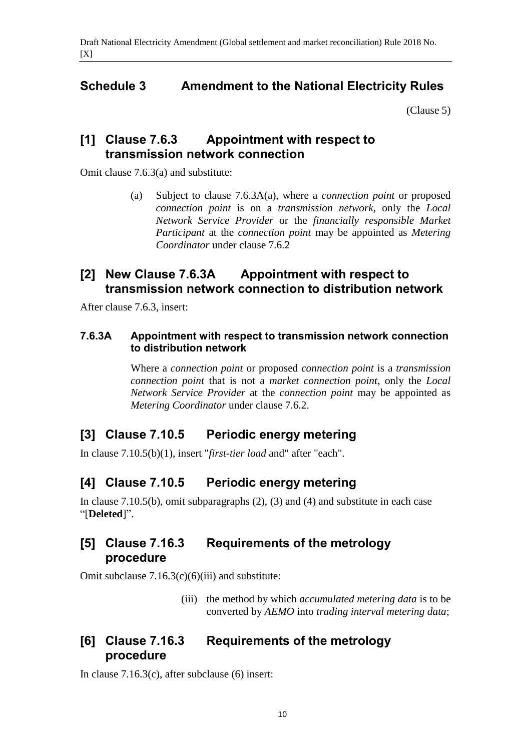# <span id="page-9-0"></span>**Schedule 3 Amendment to the National Electricity Rules**

[\(Clause 5\)](#page-1-2)

### **[1] Clause 7.6.3 Appointment with respect to transmission network connection**

Omit clause 7.6.3(a) and substitute:

(a) Subject to clause 7.6.3A(a), where a *connection point* or proposed *connection point* is on a *transmission network*, only the *Local Network Service Provider* or the *financially responsible Market Participant* at the *connection point* may be appointed as *Metering Coordinator* under clause 7.6.2

## **[2] New Clause 7.6.3A Appointment with respect to transmission network connection to distribution network**

After clause 7.6.3, insert:

#### **7.6.3A Appointment with respect to transmission network connection to distribution network**

Where a *connection point* or proposed *connection point* is a *transmission connection point* that is not a *market connection point*, only the *Local Network Service Provider* at the *connection point* may be appointed as *Metering Coordinator* under clause 7.6.2.

### **[3] Clause 7.10.5 Periodic energy metering**

In clause 7.10.5(b)(1), insert "*first-tier load* and" after "each".

# **[4] Clause 7.10.5 Periodic energy metering**

In clause 7.10.5(b), omit subparagraphs (2), (3) and (4) and substitute in each case "[**Deleted**]".

### **[5] Clause 7.16.3 Requirements of the metrology procedure**

Omit subclause  $7.16.3(c)(6)(iii)$  and substitute:

(iii) the method by which *accumulated metering data* is to be converted by *AEMO* into *trading interval metering data*;

# **[6] Clause 7.16.3 Requirements of the metrology procedure**

In clause 7.16.3(c), after subclause (6) insert: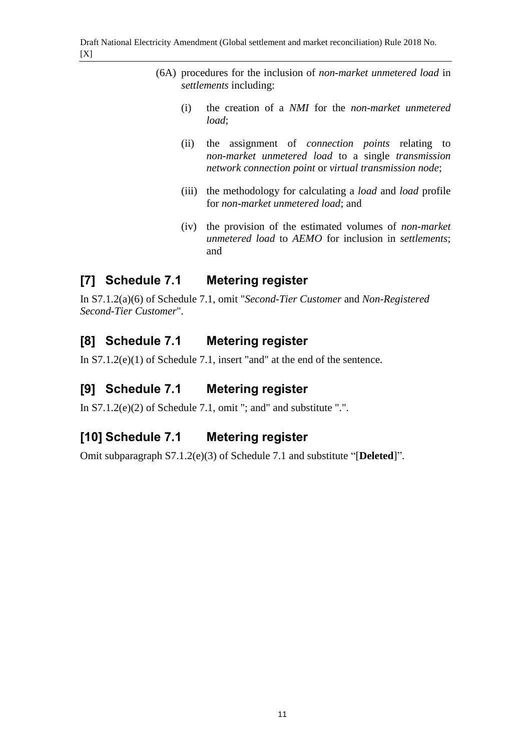- (6A) procedures for the inclusion of *non-market unmetered load* in *settlements* including:
	- (i) the creation of a *NMI* for the *non-market unmetered load*;
	- (ii) the assignment of *connection points* relating to *non-market unmetered load* to a single *transmission network connection point* or *virtual transmission node*;
	- (iii) the methodology for calculating a *load* and *load* profile for *non-market unmetered load*; and
	- (iv) the provision of the estimated volumes of *non-market unmetered load* to *AEMO* for inclusion in *settlements*; and

# **[7] Schedule 7.1 Metering register**

In S7.1.2(a)(6) of Schedule 7.1, omit "*Second-Tier Customer* and *Non-Registered Second-Tier Customer*".

# **[8] Schedule 7.1 Metering register**

In S7.1.2(e)(1) of Schedule 7.1, insert "and" at the end of the sentence.

# **[9] Schedule 7.1 Metering register**

In S7.1.2(e)(2) of Schedule 7.1, omit "; and" and substitute ".".

# **[10] Schedule 7.1 Metering register**

Omit subparagraph S7.1.2(e)(3) of Schedule 7.1 and substitute "[**Deleted**]".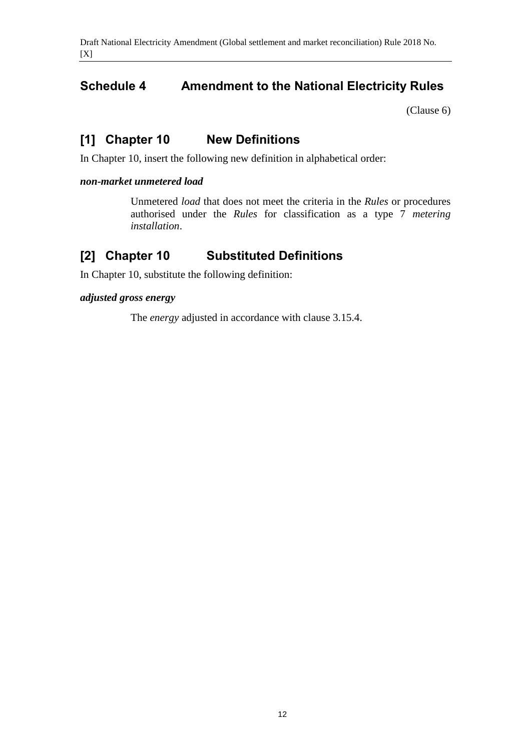# <span id="page-11-0"></span>**Schedule 4 Amendment to the National Electricity Rules**

[\(Clause 6\)](#page-1-3)

# **[1] Chapter 10 New Definitions**

In Chapter 10, insert the following new definition in alphabetical order:

#### *non-market unmetered load*

Unmetered *load* that does not meet the criteria in the *Rules* or procedures authorised under the *Rules* for classification as a type 7 *metering installation*.

## **[2] Chapter 10 Substituted Definitions**

In Chapter 10, substitute the following definition:

#### *adjusted gross energy*

The *energy* adjusted in accordance with clause 3.15.4.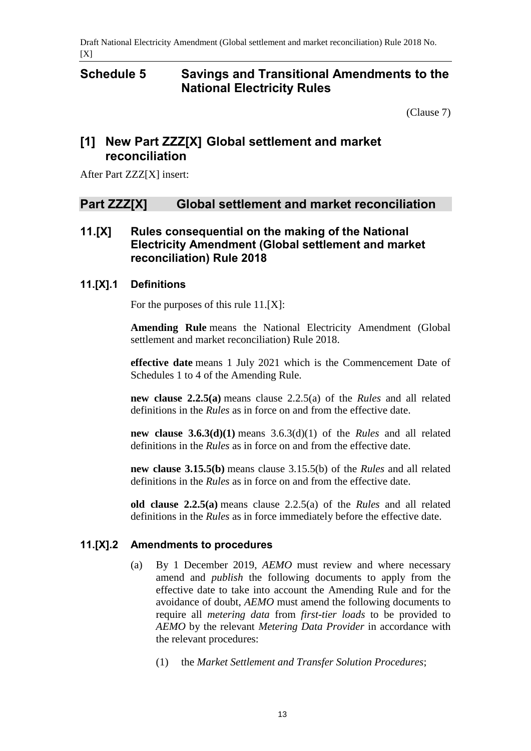# <span id="page-12-0"></span>**Schedule 5 Savings and Transitional Amendments to the National Electricity Rules**

[\(Clause 7\)](#page-1-4)

# **[1] New Part ZZZ[X] Global settlement and market reconciliation**

After Part ZZZ[X] insert:

### **Part ZZZ[X] Global settlement and market reconciliation**

### **11.[X] Rules consequential on the making of the National Electricity Amendment (Global settlement and market reconciliation) Rule 2018**

#### **11.[X].1 Definitions**

For the purposes of this rule 11.[X]:

**Amending Rule** means the National Electricity Amendment (Global settlement and market reconciliation) Rule 2018.

**effective date** means 1 July 2021 which is the Commencement Date of Schedules 1 to 4 of the Amending Rule.

**new clause 2.2.5(a)** means clause 2.2.5(a) of the *Rules* and all related definitions in the *Rules* as in force on and from the effective date.

**new clause 3.6.3(d)(1)** means 3.6.3(d)(1) of the *Rules* and all related definitions in the *Rules* as in force on and from the effective date.

**new clause 3.15.5(b)** means clause 3.15.5(b) of the *Rules* and all related definitions in the *Rules* as in force on and from the effective date.

**old clause 2.2.5(a)** means clause 2.2.5(a) of the *Rules* and all related definitions in the *Rules* as in force immediately before the effective date.

#### **11.[X].2 Amendments to procedures**

- (a) By 1 December 2019, *AEMO* must review and where necessary amend and *publish* the following documents to apply from the effective date to take into account the Amending Rule and for the avoidance of doubt, *AEMO* must amend the following documents to require all *metering data* from *first-tier loads* to be provided to *AEMO* by the relevant *Metering Data Provider* in accordance with the relevant procedures:
	- (1) the *Market Settlement and Transfer Solution Procedures*;